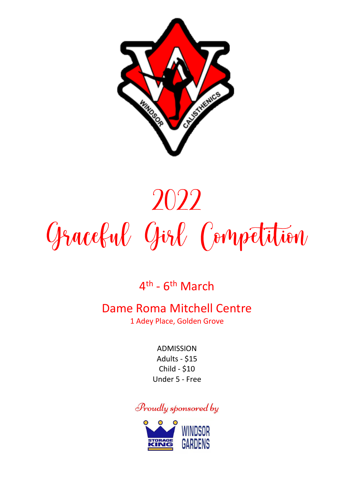

# 2022 Gracebul Girl Competition

### 4<sup>th</sup> - 6<sup>th</sup> March

### Dame Roma Mitchell Centre

1 Adey Place, Golden Grove

ADMISSION Adults - \$15 Child - \$10 Under 5 - Free

Proudly sponsored by

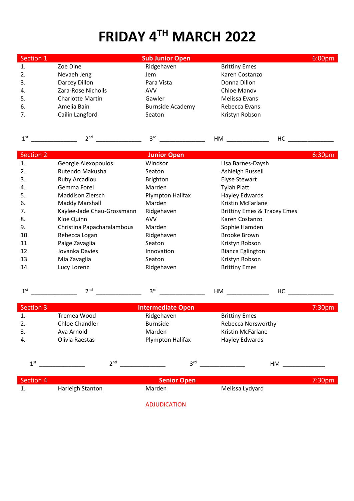## **FRIDAY 4TH MARCH 2022**

| Section 1 |                         | <b>Sub Junior Open</b>  |                      | 6:00 <sub>pm</sub> |
|-----------|-------------------------|-------------------------|----------------------|--------------------|
| 1.        | Zoe Dine                | Ridgehaven              | <b>Brittiny Emes</b> |                    |
| 2.        | Nevaeh Jeng             | Jem                     | Karen Costanzo       |                    |
| 3.        | Darcey Dillon           | Para Vista              | Donna Dillon         |                    |
| 4.        | Zara-Rose Nicholls      | AVV                     | Chloe Manov          |                    |
| 5.        | <b>Charlotte Martin</b> | Gawler                  | Melissa Evans        |                    |
| 6.        | Amelia Bain             | <b>Burnside Academy</b> | Rebecca Evans        |                    |
| 7.        | Cailin Langford         | Seaton                  | Kristyn Robson       |                    |

| 1 <sup>st</sup> | 2 <sup>nd</sup>            | 3 <sup>rd</sup>    | HM<br>HC                    |        |
|-----------------|----------------------------|--------------------|-----------------------------|--------|
|                 |                            |                    |                             |        |
| Section 2       |                            | <b>Junior Open</b> |                             | 6:30pm |
| 1.              | Georgie Alexopoulos        | Windsor            | Lisa Barnes-Daysh           |        |
| 2.              | Rutendo Makusha            | Seaton             | Ashleigh Russell            |        |
| 3.              | Ruby Arcadiou              | Brighton           | <b>Elyse Stewart</b>        |        |
| 4.              | Gemma Forel                | Marden             | <b>Tylah Platt</b>          |        |
| 5.              | Maddison Ziersch           | Plympton Halifax   | Hayley Edwards              |        |
| 6.              | <b>Maddy Marshall</b>      | <b>Marden</b>      | Kristin McFarlane           |        |
| 7.              | Kaylee-Jade Chau-Grossmann | Ridgehaven         | Brittiny Emes & Tracey Emes |        |
| 8.              | Kloe Quinn                 | <b>AVV</b>         | Karen Costanzo              |        |
| 9.              | Christina Papacharalambous | <b>Marden</b>      | Sophie Hamden               |        |
| 10.             | Rebecca Logan              | Ridgehaven         | Brooke Brown                |        |
| 11.             | Paige Zavaglia             | Seaton             | Kristyn Robson              |        |
| 12.             | Jovanka Davies             | Innovation         | <b>Bianca Eglington</b>     |        |
| 13.             | Mia Zavaglia               | Seaton             | Kristyn Robson              |        |
| 14.             | Lucy Lorenz                | Ridgehaven         | <b>Brittiny Emes</b>        |        |
|                 |                            |                    |                             |        |

|  | נו ונ |  |  | _____ |
|--|-------|--|--|-------|
|--|-------|--|--|-------|

| Section 3       |                  | <b>Intermediate Open</b> |                           | 7:30 <sub>pm</sub> |
|-----------------|------------------|--------------------------|---------------------------|--------------------|
| 1.              | Tremea Wood      | Ridgehaven               | <b>Brittiny Emes</b>      |                    |
| 2.              | Chloe Chandler   | <b>Burnside</b>          | <b>Rebecca Norsworthy</b> |                    |
| 3.              | Ava Arnold       | Marden                   | Kristin McFarlane         |                    |
| 4.              | Olivia Raestas   | Plympton Halifax         | Hayley Edwards            |                    |
| 1 <sup>st</sup> | 2 <sup>nd</sup>  | 3 <sup>rd</sup>          | HМ                        |                    |
| Section 4       |                  | <b>Senior Open</b>       |                           | 7:30 <sub>pm</sub> |
| 1.              | Harleigh Stanton | Marden                   | Melissa Lydyard           |                    |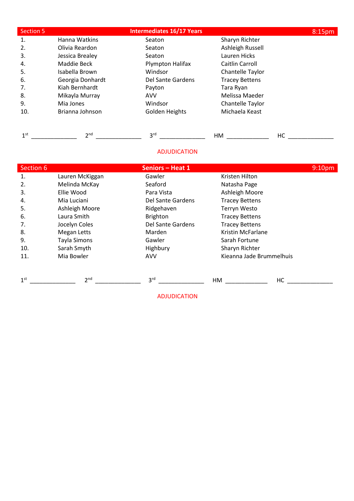| Section 5       |                  | <b>Intermediates 16/17 Years</b> |                       | 8:15pm             |
|-----------------|------------------|----------------------------------|-----------------------|--------------------|
| 1.              | Hanna Watkins    | Seaton                           | Sharyn Richter        |                    |
| 2.              | Olivia Reardon   | Seaton                           | Ashleigh Russell      |                    |
| 3.              | Jessica Brealey  | Seaton                           | Lauren Hicks          |                    |
| 4.              | Maddie Beck      | Plympton Halifax                 | Caitlin Carroll       |                    |
| 5.              | Isabella Brown   | Windsor                          | Chantelle Taylor      |                    |
| 6.              | Georgia Donhardt | Del Sante Gardens                | <b>Tracey Bettens</b> |                    |
| 7.              | Kiah Bernhardt   | Payton                           | Tara Ryan             |                    |
| 8.              | Mikayla Murray   | <b>AVV</b>                       | Melissa Maeder        |                    |
| 9.              | Mia Jones        | Windsor                          | Chantelle Taylor      |                    |
| 10.             | Brianna Johnson  | Golden Heights                   | Michaela Keast        |                    |
| 1 <sup>st</sup> | 2 <sup>nd</sup>  | 3 <sup>rd</sup>                  | HM                    | НC                 |
|                 |                  | <b>ADJUDICATION</b>              |                       |                    |
| Section 6       |                  | <b>Seniors - Heat 1</b>          |                       | 9:10 <sub>pm</sub> |

| 1.              | Lauren McKiggan    | Gawler            | Kristen Hilton           |  |
|-----------------|--------------------|-------------------|--------------------------|--|
| 2.              | Melinda McKay      | Seaford           | Natasha Page             |  |
| 3.              | Ellie Wood         | Para Vista        | Ashleigh Moore           |  |
| 4.              | Mia Luciani        | Del Sante Gardens | <b>Tracey Bettens</b>    |  |
| 5.              | Ashleigh Moore     | Ridgehaven        | Terryn Westo             |  |
| 6.              | Laura Smith        | <b>Brighton</b>   | <b>Tracey Bettens</b>    |  |
| 7.              | Jocelyn Coles      | Del Sante Gardens | <b>Tracey Bettens</b>    |  |
| 8.              | <b>Megan Letts</b> | Marden            | Kristin McFarlane        |  |
| 9.              | Tayla Simons       | Gawler            | Sarah Fortune            |  |
| 10.             | Sarah Smyth        | Highbury          | Sharyn Richter           |  |
| 11.             | Mia Bowler         | <b>AVV</b>        | Kieanna Jade Brummelhuis |  |
|                 |                    |                   |                          |  |
| 1 <sup>st</sup> | 2 <sup>nd</sup>    | 3 <sup>rd</sup>   | HC<br>HM                 |  |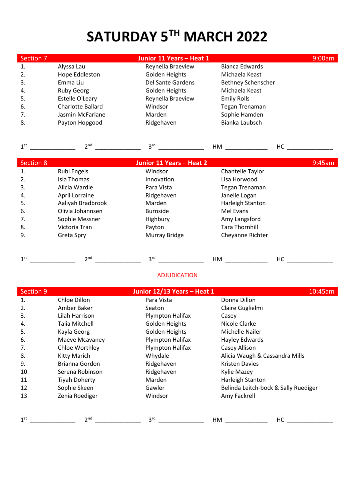### **SATURDAY 5TH MARCH 2022**

| Section 7        |                   | Junior 11 Years - Heat 1 |                           | 9:00am |
|------------------|-------------------|--------------------------|---------------------------|--------|
| 1.               | Alyssa Lau        | Reynella Braeview        | <b>Bianca Edwards</b>     |        |
| 2.               | Hope Eddleston    | Golden Heights           | Michaela Keast            |        |
| 3.               | Emma Liu          | <b>Del Sante Gardens</b> | <b>Bethney Schenscher</b> |        |
| 4.               | <b>Ruby Georg</b> | Golden Heights           | Michaela Keast            |        |
| 5.               | Estelle O'Leary   | Reynella Braeview        | <b>Emily Rolls</b>        |        |
| 6.               | Charlotte Ballard | Windsor                  | Tegan Trenaman            |        |
| 7.               | Jasmin McFarlane  | Marden                   | Sophie Hamden             |        |
| 8.               | Payton Hopgood    | Ridgehaven               | Bianka Laubsch            |        |
| 1 <sup>st</sup>  | 2 <sup>nd</sup>   | 3 <sup>rd</sup>          |                           | HC     |
| <b>Section 8</b> |                   | Junior 11 Years - Heat 2 |                           | 9:45am |
| 1.               | Rubi Engels       | Windsor                  | Chantelle Taylor          |        |
| 2.               | Isla Thomas       | Innovation               | Lisa Horwood              |        |
| 3.               | Alicia Wardle     | Para Vista               | <b>Tegan Trenaman</b>     |        |
| 4.               | April Lorraine    | Ridgehaven               | Janelle Logan             |        |
| 5.               | Aaliyah Bradbrook | Marden                   | Harleigh Stanton          |        |
| 6.               | Olivia Johannsen  | <b>Burnside</b>          | Mel Evans                 |        |
| 7.               | Sophie Messner    | Highbury                 | Amy Langsford             |        |
| 8.               | Victoria Tran     | Payton                   | <b>Tara Thornhill</b>     |        |
| 9.               | Greta Spry        | Murray Bridge            | Cheyanne Richter          |        |
|                  |                   |                          |                           |        |

| ,,,, |  | $\sim$ |
|------|--|--------|
|      |  |        |

| <b>Section 9</b> |                      | Junior 12/13 Years - Heat 1 |                                      | 10:45am |
|------------------|----------------------|-----------------------------|--------------------------------------|---------|
| 1.               | Chloe Dillon         | Para Vista                  | Donna Dillon                         |         |
| 2.               | Amber Baker          | Seaton                      | Claire Guglielmi                     |         |
| 3.               | Lilah Harrison       | Plympton Halifax            | Casey                                |         |
| 4.               | Talia Mitchell       | Golden Heights              | Nicole Clarke                        |         |
| 5.               | Kayla Georg          | <b>Golden Heights</b>       | Michelle Nailer                      |         |
| 6.               | Maeve Mcavaney       | Plympton Halifax            | Hayley Edwards                       |         |
| 7.               | Chloe Worthley       | Plympton Halifax            | Casey Allison                        |         |
| 8.               | Kitty Marich         | Whydale                     | Alicia Waugh & Cassandra Mills       |         |
| 9.               | Brianna Gordon       | Ridgehaven                  | <b>Kristen Davies</b>                |         |
| 10.              | Serena Robinson      | Ridgehaven                  | Kylie Mazey                          |         |
| 11.              | <b>Tiyah Doherty</b> | Marden                      | Harleigh Stanton                     |         |
| 12.              | Sophie Skeen         | Gawler                      | Belinda Leitch-bock & Sally Ruediger |         |
| 13.              | Zenia Roediger       | Windsor                     | Amy Fackrell                         |         |
|                  |                      |                             |                                      |         |
| 1 <sup>st</sup>  | 2 <sub>nd</sub>      | 3 <sup>rd</sup>             | НC<br>НM                             |         |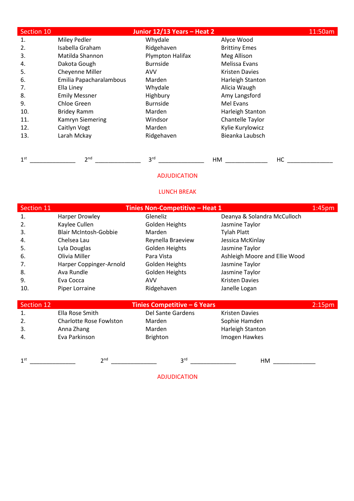| Section 10 |                         | Junior 12/13 Years - Heat 2 |                       | 11:50am |
|------------|-------------------------|-----------------------------|-----------------------|---------|
| 1.         | Miley Pedler            | Whydale                     | Alyce Wood            |         |
| 2.         | Isabella Graham         | Ridgehaven                  | <b>Brittiny Emes</b>  |         |
| 3.         | Matilda Shannon         | Plympton Halifax            | Meg Allison           |         |
| 4.         | Dakota Gough            | <b>Burnside</b>             | Melissa Evans         |         |
| 5.         | Cheyenne Miller         | <b>AVV</b>                  | <b>Kristen Davies</b> |         |
| 6.         | Emilia Papacharalambous | Marden                      | Harleigh Stanton      |         |
| 7.         | Ella Liney              | Whydale                     | Alicia Waugh          |         |
| 8.         | <b>Emily Messner</b>    | Highbury                    | Amy Langsford         |         |
| 9.         | Chloe Green             | <b>Burnside</b>             | Mel Evans             |         |
| 10.        | <b>Bridey Ramm</b>      | Marden                      | Harleigh Stanton      |         |
| 11.        | <b>Kamryn Siemering</b> | Windsor                     | Chantelle Taylor      |         |
| 12.        | Caitlyn Vogt            | Marden                      | Kylie Kurylowicz      |         |
| 13.        | Larah Mckay             | Ridgehaven                  | Bieanka Laubsch       |         |
|            |                         |                             |                       |         |

1 st \_\_\_\_\_\_\_\_\_\_\_\_\_\_ 2 nd \_\_\_\_\_\_\_\_\_\_\_\_\_\_ 3 rd \_\_\_\_\_\_\_\_\_\_\_\_\_\_ HM \_\_\_\_\_\_\_\_\_\_\_\_\_ HC \_\_\_\_\_\_\_\_\_\_\_\_\_\_

#### LUNCH BREAK

| Section 11     |                                | Tinies Non-Competitive - Heat 1 |                               | 1:45 <sub>pm</sub> |
|----------------|--------------------------------|---------------------------------|-------------------------------|--------------------|
| 1.             | <b>Harper Drowley</b>          | Gleneliz                        | Deanya & Solandra McCulloch   |                    |
| 2.             | Kaylee Cullen                  | Golden Heights                  | Jasmine Taylor                |                    |
| 3.             | <b>Blair McIntosh-Gobbie</b>   | Marden                          | <b>Tylah Platt</b>            |                    |
| 4.             | Chelsea Lau                    | Reynella Braeview               | Jessica McKinlay              |                    |
| 5.             | Lyla Douglas                   | Golden Heights                  | Jasmine Taylor                |                    |
| 6.             | Olivia Miller                  | Para Vista                      | Ashleigh Moore and Ellie Wood |                    |
| 7.             | Harper Coppinger-Arnold        | Golden Heights                  | Jasmine Taylor                |                    |
| 8.             | Ava Rundle                     | Golden Heights                  | Jasmine Taylor                |                    |
| 9.             | Eva Cocca                      | AVV                             | <b>Kristen Davies</b>         |                    |
| 10.            | Piper Lorraine                 | Ridgehaven                      | Janelle Logan                 |                    |
|                |                                |                                 |                               |                    |
| Section 12     |                                | Tinies Competitive - 6 Years    |                               | 2:15 <sub>pm</sub> |
| $\mathbf{1}$ . | Ella Rose Smith                | Del Sante Gardens               | <b>Kristen Davies</b>         |                    |
| 2.             | <b>Charlotte Rose Fowlston</b> | Marden                          | Sophie Hamden                 |                    |

3. Anna Zhang Marden Marden Harleigh Stanton<br>4. Eva Parkinson Brighton Harleigh Stanton 4. Eva Parkinson

1 st \_\_\_\_\_\_\_\_\_\_\_\_\_\_ 2 nd \_\_\_\_\_\_\_\_\_\_\_\_\_\_ 3 rd \_\_\_\_\_\_\_\_\_\_\_\_\_\_ HM \_\_\_\_\_\_\_\_\_\_\_\_\_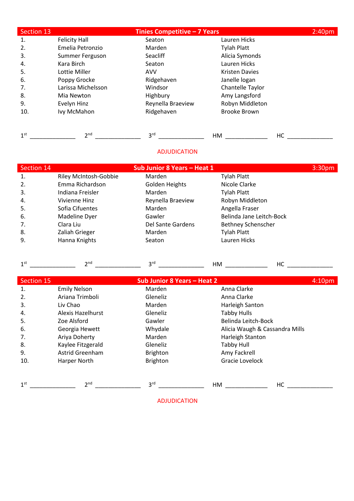| Section 13      |                      | <b>Tinies Competitive - 7 Years</b> |                       | 2:40 <sub>pm</sub> |
|-----------------|----------------------|-------------------------------------|-----------------------|--------------------|
| 1.              | <b>Felicity Hall</b> | Seaton                              | Lauren Hicks          |                    |
| 2.              | Emelia Petronzio     | Marden                              | <b>Tylah Platt</b>    |                    |
| 3.              | Summer Ferguson      | Seacliff                            | Alicia Symonds        |                    |
| 4.              | Kara Birch           | Seaton                              | Lauren Hicks          |                    |
| 5.              | Lottie Miller        | <b>AVV</b>                          | <b>Kristen Davies</b> |                    |
| 6.              | Poppy Grocke         | Ridgehaven                          | Janelle logan         |                    |
| 7.              | Larissa Michelsson   | Windsor                             | Chantelle Taylor      |                    |
| 8.              | Mia Newton           | Highbury                            | Amy Langsford         |                    |
| 9.              | Evelyn Hinz          | Reynella Braeview                   | Robyn Middleton       |                    |
| 10.             | Ivy McMahon          | Ridgehaven                          | <b>Brooke Brown</b>   |                    |
| 1 <sup>st</sup> | 2 <sup>nd</sup>      | 3 <sup>rd</sup>                     | HM                    | HC                 |

| Section 14 | Sub Junior 8 Years - Heat 1 |                   |                           | 3:30 <sub>pm</sub> |
|------------|-----------------------------|-------------------|---------------------------|--------------------|
| 1.         | Riley McIntosh-Gobbie       | Marden            | <b>Tylah Platt</b>        |                    |
| 2.         | Emma Richardson             | Golden Heights    | Nicole Clarke             |                    |
| 3.         | Indiana Freisler            | Marden            | Tylah Platt               |                    |
| 4.         | Vivienne Hinz               | Reynella Braeview | Robyn Middleton           |                    |
| 5.         | Sofia Cifuentes             | Marden            | Angella Fraser            |                    |
| 6.         | Madeline Dyer               | Gawler            | Belinda Jane Leitch-Bock  |                    |
| 7.         | Clara Liu                   | Del Sante Gardens | <b>Bethney Schenscher</b> |                    |
| 8.         | Zaliah Grieger              | Marden            | <b>Tylah Platt</b>        |                    |
| 9.         | Hanna Knights               | Seaton            | Lauren Hicks              |                    |

| nn, | $ -$ |  |
|-----|------|--|
|     |      |  |

| Section 15      |                     | Sub Junior 8 Years - Heat 2 |                                | 4:10 <sub>pm</sub> |
|-----------------|---------------------|-----------------------------|--------------------------------|--------------------|
| 1.              | <b>Emily Nelson</b> | Marden                      | Anna Clarke                    |                    |
| 2.              | Ariana Trimboli     | Gleneliz                    | Anna Clarke                    |                    |
| 3.              | Liv Chao            | Marden                      | Harleigh Santon                |                    |
| 4.              | Alexis Hazelhurst   | Gleneliz                    | <b>Tabby Hulls</b>             |                    |
| 5.              | Zoe Alsford         | Gawler                      | Belinda Leitch-Bock            |                    |
| 6.              | Georgia Hewett      | Whydale                     | Alicia Waugh & Cassandra Mills |                    |
| 7.              | Ariya Doherty       | Marden                      | Harleigh Stanton               |                    |
| 8.              | Kaylee Fitzgerald   | Gleneliz                    | <b>Tabby Hull</b>              |                    |
| 9.              | Astrid Greenham     | <b>Brighton</b>             | Amy Fackrell                   |                    |
| 10.             | Harper North        | <b>Brighton</b>             | Gracie Lovelock                |                    |
|                 |                     |                             |                                |                    |
| 1 <sup>st</sup> | 2 <sup>nd</sup>     | 3 <sup>rd</sup>             | HC<br>HM                       |                    |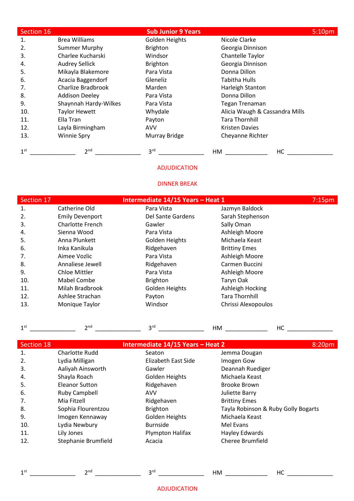| Section 16      |                       | <b>Sub Junior 9 Years</b> |                                | 5:10pm |
|-----------------|-----------------------|---------------------------|--------------------------------|--------|
| 1.              | <b>Brea Williams</b>  | Golden Heights            | Nicole Clarke                  |        |
| 2.              | <b>Summer Murphy</b>  | <b>Brighton</b>           | Georgia Dinnison               |        |
| 3.              | Charlee Kucharski     | Windsor                   | Chantelle Taylor               |        |
| 4.              | <b>Audrey Sellick</b> | <b>Brighton</b>           | Georgia Dinnison               |        |
| 5.              | Mikayla Blakemore     | Para Vista                | Donna Dillon                   |        |
| 6.              | Acacia Baggendorf     | Gleneliz                  | <b>Tabitha Hulls</b>           |        |
| 7.              | Charlize Bradbrook    | Marden                    | Harleigh Stanton               |        |
| 8.              | <b>Addison Deeley</b> | Para Vista                | Donna Dillon                   |        |
| 9.              | Shaynnah Hardy-Wilkes | Para Vista                | <b>Tegan Trenaman</b>          |        |
| 10.             | <b>Taylor Hewett</b>  | Whydale                   | Alicia Waugh & Cassandra Mills |        |
| 11.             | Ella Tran             | Payton                    | <b>Tara Thornhill</b>          |        |
| 12.             | Layla Birmingham      | <b>AVV</b>                | <b>Kristen Davies</b>          |        |
| 13.             | <b>Winnie Spry</b>    | Murray Bridge             | Cheyanne Richter               |        |
| 1 <sup>st</sup> | 2 <sub>nd</sub>       | 3 <sup>rd</sup>           | HM<br>HС                       |        |

#### DINNER BREAK

| Section 17 | Intermediate 14/15 Years - Heat 1 |                   |                       | 7:15 <sub>pm</sub> |
|------------|-----------------------------------|-------------------|-----------------------|--------------------|
| 1.         | Catherine Old                     | Para Vista        | Jazmyn Baldock        |                    |
| 2.         | <b>Emily Devenport</b>            | Del Sante Gardens | Sarah Stephenson      |                    |
| 3.         | Charlotte French                  | Gawler            | Sally Oman            |                    |
| 4.         | Sienna Wood                       | Para Vista        | Ashleigh Moore        |                    |
| 5.         | Anna Plunkett                     | Golden Heights    | Michaela Keast        |                    |
| 6.         | Inka Kanikula                     | Ridgehaven        | <b>Brittiny Emes</b>  |                    |
| 7.         | Aimee Vozlic                      | Para Vista        | Ashleigh Moore        |                    |
| 8.         | Annaliese Jewell                  | Ridgehaven        | Carmen Buccini        |                    |
| 9.         | <b>Chloe Mittler</b>              | Para Vista        | Ashleigh Moore        |                    |
| 10.        | Mabel Combe                       | Brighton          | Taryn Oak             |                    |
| 11.        | Milah Bradbrook                   | Golden Heights    | Ashleigh Hocking      |                    |
| 12.        | Ashlee Strachan                   | Payton            | <b>Tara Thornhill</b> |                    |
| 13.        | Monique Taylor                    | Windsor           | Chrissi Alexopoulos   |                    |

| 1 <sup>st</sup> | 2 <sup>nd</sup>     | 3 <sup>rd</sup>                   | HM                                  | HС     |
|-----------------|---------------------|-----------------------------------|-------------------------------------|--------|
| Section 18      |                     | Intermediate 14/15 Years - Heat 2 |                                     | 8:20pm |
| 1.              | Charlotte Rudd      | Seaton                            | Jemma Dougan                        |        |
| 2.              | Lydia Milligan      | Elizabeth East Side               | Imogen Gow                          |        |
| 3.              | Aaliyah Ainsworth   | Gawler                            | Deannah Ruediger                    |        |
| 4.              | Shayla Roach        | Golden Heights                    | Michaela Keast                      |        |
| 5.              | Eleanor Sutton      | Ridgehaven                        | Brooke Brown                        |        |
| 6.              | Ruby Campbell       | <b>AVV</b>                        | Juliette Barry                      |        |
| 7.              | Mia Fitzell         | Ridgehaven                        | <b>Brittiny Emes</b>                |        |
| 8.              | Sophia Flourentzou  | <b>Brighton</b>                   | Tayla Robinson & Ruby Golly Bogarts |        |
| 9.              | Imogen Kennaway     | Golden Heights                    | Michaela Keast                      |        |
| 10.             | Lydia Newbury       | <b>Burnside</b>                   | Mel Evans                           |        |
| 11.             | Lily Jones          | Plympton Halifax                  | Hayley Edwards                      |        |
| 12.             | Stephanie Brumfield | Acacia                            | <b>Cheree Brumfield</b>             |        |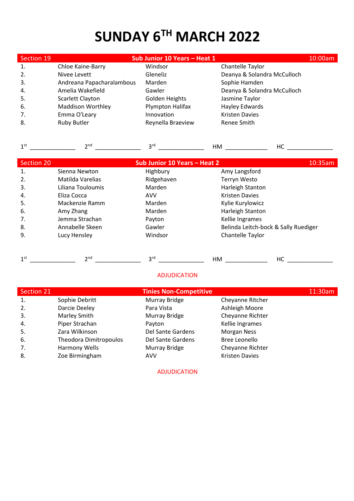# **SUNDAY 6 TH MARCH 2022**

| Section 19        |                           | Sub Junior 10 Years - Heat 1        |                                                                                                                                                                                                                                      | 10:00am |
|-------------------|---------------------------|-------------------------------------|--------------------------------------------------------------------------------------------------------------------------------------------------------------------------------------------------------------------------------------|---------|
| 1.                | Chloe Kaine-Barry         | Windsor                             | Chantelle Taylor                                                                                                                                                                                                                     |         |
| 2.                | Nivee Levett              | Gleneliz                            | Deanya & Solandra McCulloch                                                                                                                                                                                                          |         |
| 3.                | Andreana Papacharalambous | Marden                              | Sophie Hamden                                                                                                                                                                                                                        |         |
| 4.                | Amelia Wakefield          | Gawler                              | Deanya & Solandra McCulloch                                                                                                                                                                                                          |         |
| 5.                | Scarlett Clayton          | Golden Heights                      | Jasmine Taylor                                                                                                                                                                                                                       |         |
| 6.                | <b>Maddison Worthley</b>  | Plympton Halifax                    | Hayley Edwards                                                                                                                                                                                                                       |         |
| 7.                | Emma O'Leary              | Innovation                          | <b>Kristen Davies</b>                                                                                                                                                                                                                |         |
| 8.                | <b>Ruby Butler</b>        | Reynella Braeview                   | Renee Smith                                                                                                                                                                                                                          |         |
|                   |                           |                                     |                                                                                                                                                                                                                                      |         |
| 1 <sup>st</sup>   | 2 <sup>nd</sup>           | 3 <sup>rd</sup>                     | HM and the state of the state of the state of the state of the state of the state of the state of the state of the state of the state of the state of the state of the state of the state of the state of the state of the sta<br>HC |         |
|                   |                           |                                     |                                                                                                                                                                                                                                      |         |
| <b>Section 20</b> |                           | <b>Sub Junior 10 Years - Heat 2</b> |                                                                                                                                                                                                                                      | 10:35am |
| 1.                | Sienna Newton             | Highbury                            | Amy Langsford                                                                                                                                                                                                                        |         |
| 2.                | Matilda Varelias          | Ridgehaven                          | <b>Terryn Westo</b>                                                                                                                                                                                                                  |         |
| 3.                | Liliana Touloumis         | Marden                              | Harleigh Stanton                                                                                                                                                                                                                     |         |
| 4.                | Eliza Cocca               | <b>AVV</b>                          | <b>Kristen Davies</b>                                                                                                                                                                                                                |         |
| 5.                | Mackenzie Ramm            | Marden                              | Kylie Kurylowicz                                                                                                                                                                                                                     |         |
| 6.                | Amy Zhang                 | Marden                              | Harleigh Stanton                                                                                                                                                                                                                     |         |
| 7.                | Jemma Strachan            | Payton                              | Kellie Ingrames                                                                                                                                                                                                                      |         |
| 8.                | Annabelle Skeen           | Gawler                              | Belinda Leitch-bock & Sally Ruediger                                                                                                                                                                                                 |         |
| 9.                | Lucy Hensley              | Windsor                             | Chantelle Taylor                                                                                                                                                                                                                     |         |
|                   |                           |                                     |                                                                                                                                                                                                                                      |         |
| 1 <sup>st</sup>   | 2 <sub>nd</sub>           | 3 <sup>rd</sup>                     | HM<br>HC                                                                                                                                                                                                                             |         |

#### ADJUDICATION

| Section 21 |                               | <b>Tinies Non-Competitive</b> |                       | 11:30am |
|------------|-------------------------------|-------------------------------|-----------------------|---------|
| 1.         | Sophie Debritt                | Murray Bridge                 | Cheyanne Ritcher      |         |
| 2.         | Darcie Deeley                 | Para Vista                    | Ashleigh Moore        |         |
| 3.         | <b>Marley Smith</b>           | Murray Bridge                 | Cheyanne Richter      |         |
| 4.         | Piper Strachan                | Payton                        | Kellie Ingrames       |         |
| 5.         | Zara Wilkinson                | Del Sante Gardens             | <b>Morgan Ness</b>    |         |
| 6.         | <b>Theodora Dimitropoulos</b> | Del Sante Gardens             | <b>Bree Leonello</b>  |         |
| 7.         | Harmony Wells                 | Murray Bridge                 | Cheyanne Richter      |         |
| 8.         | Zoe Birmingham                | <b>AVV</b>                    | <b>Kristen Davies</b> |         |